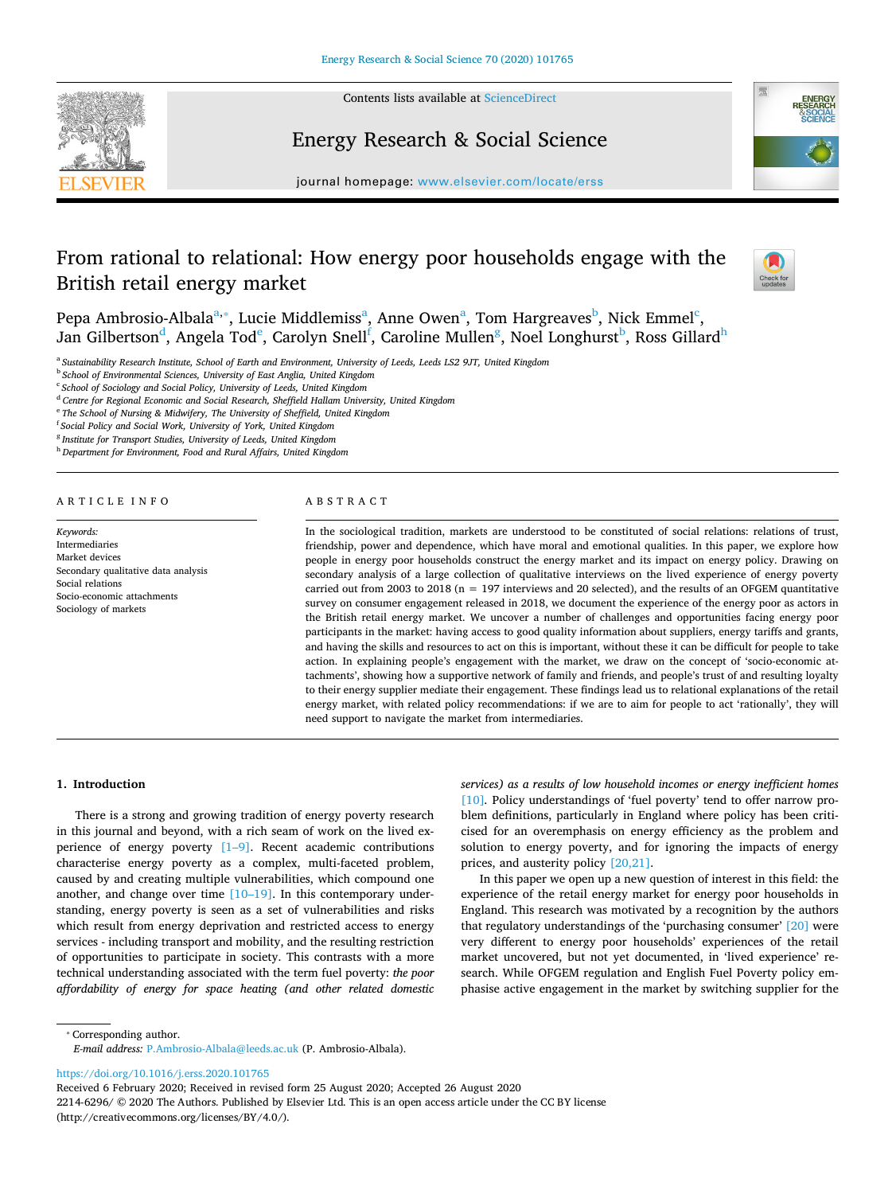

Contents lists available at [ScienceDirect](http://www.sciencedirect.com/science/journal/22146296)

## Energy Research & Social Science



journal homepage: [www.elsevier.com/locate/erss](https://www.elsevier.com/locate/erss)

# From rational to relational: How energy poor households engage with the British retail energy market



Pep[a](#page-0-0) Am[b](#page-0-2)rosio-Albala<sup>a,</sup>\*, Lu[c](#page-0-3)ie Middlemiss<sup>a</sup>, Anne Owen<sup>a</sup>, Tom Hargreaves<sup>b</sup>, Nick Emmel<sup>c</sup>, Jan Gilb[e](#page-0-5)rtson $^{\rm d}$  $^{\rm d}$  $^{\rm d}$ , An[g](#page-0-7)ela Tod $^{\rm e}$ , Carolyn Snell $^{\rm f}$ , Caroline Mullen $^{\rm g}$ , Noel Longhurst $^{\rm b}$  $^{\rm b}$  $^{\rm b}$ , Ross Gillard $^{\rm h}$ 

<span id="page-0-0"></span><sup>a</sup> *Sustainability Research Institute, School of Earth and Environment, University of Leeds, Leeds LS2 9JT, United Kingdom*

<span id="page-0-2"></span><sup>b</sup> *School of Environmental Sciences, University of East Anglia, United Kingdom*

<span id="page-0-3"></span><sup>c</sup> *School of Sociology and Social Policy, University of Leeds, United Kingdom*

<span id="page-0-4"></span><sup>d</sup> *Centre for Regional Economic and Social Research, Sheffield Hallam University, United Kingdom*

<span id="page-0-5"></span><sup>e</sup> *The School of Nursing & Midwifery, The University of Sheffield, United Kingdom*

<span id="page-0-6"></span>f *Social Policy and Social Work, University of York, United Kingdom*

<span id="page-0-7"></span><sup>g</sup> *Institute for Transport Studies, University of Leeds, United Kingdom*

<span id="page-0-8"></span><sup>h</sup> *Department for Environment, Food and Rural Affairs, United Kingdom*

#### ARTICLE INFO

*Keywords:* Intermediaries Market devices Secondary qualitative data analysis Social relations Socio-economic attachments Sociology of markets

#### ABSTRACT

In the sociological tradition, markets are understood to be constituted of social relations: relations of trust, friendship, power and dependence, which have moral and emotional qualities. In this paper, we explore how people in energy poor households construct the energy market and its impact on energy policy. Drawing on secondary analysis of a large collection of qualitative interviews on the lived experience of energy poverty carried out from 2003 to 2018 (n = 197 interviews and 20 selected), and the results of an OFGEM quantitative survey on consumer engagement released in 2018, we document the experience of the energy poor as actors in the British retail energy market. We uncover a number of challenges and opportunities facing energy poor participants in the market: having access to good quality information about suppliers, energy tariffs and grants, and having the skills and resources to act on this is important, without these it can be difficult for people to take action. In explaining people's engagement with the market, we draw on the concept of 'socio-economic attachments', showing how a supportive network of family and friends, and people's trust of and resulting loyalty to their energy supplier mediate their engagement. These findings lead us to relational explanations of the retail energy market, with related policy recommendations: if we are to aim for people to act 'rationally', they will need support to navigate the market from intermediaries.

## <span id="page-0-9"></span>**1. Introduction**

There is a strong and growing tradition of energy poverty research in this journal and beyond, with a rich seam of work on the lived experience of energy poverty [\[1–9\]](#page-9-0). Recent academic contributions characterise energy poverty as a complex, multi-faceted problem, caused by and creating multiple vulnerabilities, which compound one another, and change over time [\[10–19\]](#page-9-1). In this contemporary understanding, energy poverty is seen as a set of vulnerabilities and risks which result from energy deprivation and restricted access to energy services - including transport and mobility, and the resulting restriction of opportunities to participate in society. This contrasts with a more technical understanding associated with the term fuel poverty: *the poor affordability of energy for space heating (and other related domestic* *services) as a results of low household incomes or energy inefficient homes* [\[10\]](#page-9-1). Policy understandings of 'fuel poverty' tend to offer narrow problem definitions, particularly in England where policy has been criticised for an overemphasis on energy efficiency as the problem and solution to energy poverty, and for ignoring the impacts of energy prices, and austerity policy [\[20,21\].](#page-9-2)

In this paper we open up a new question of interest in this field: the experience of the retail energy market for energy poor households in England. This research was motivated by a recognition by the authors that regulatory understandings of the 'purchasing consumer' [\[20\]](#page-9-2) were very different to energy poor households' experiences of the retail market uncovered, but not yet documented, in 'lived experience' research. While OFGEM regulation and English Fuel Poverty policy emphasise active engagement in the market by switching supplier for the

<span id="page-0-1"></span>⁎ Corresponding author.

<https://doi.org/10.1016/j.erss.2020.101765>

Received 6 February 2020; Received in revised form 25 August 2020; Accepted 26 August 2020

2214-6296/ © 2020 The Authors. Published by Elsevier Ltd. This is an open access article under the CC BY license (http://creativecommons.org/licenses/BY/4.0/).

*E-mail address:* [P.Ambrosio-Albala@leeds.ac.uk](mailto:P.Ambrosio-Albala@leeds.ac.uk) (P. Ambrosio-Albala).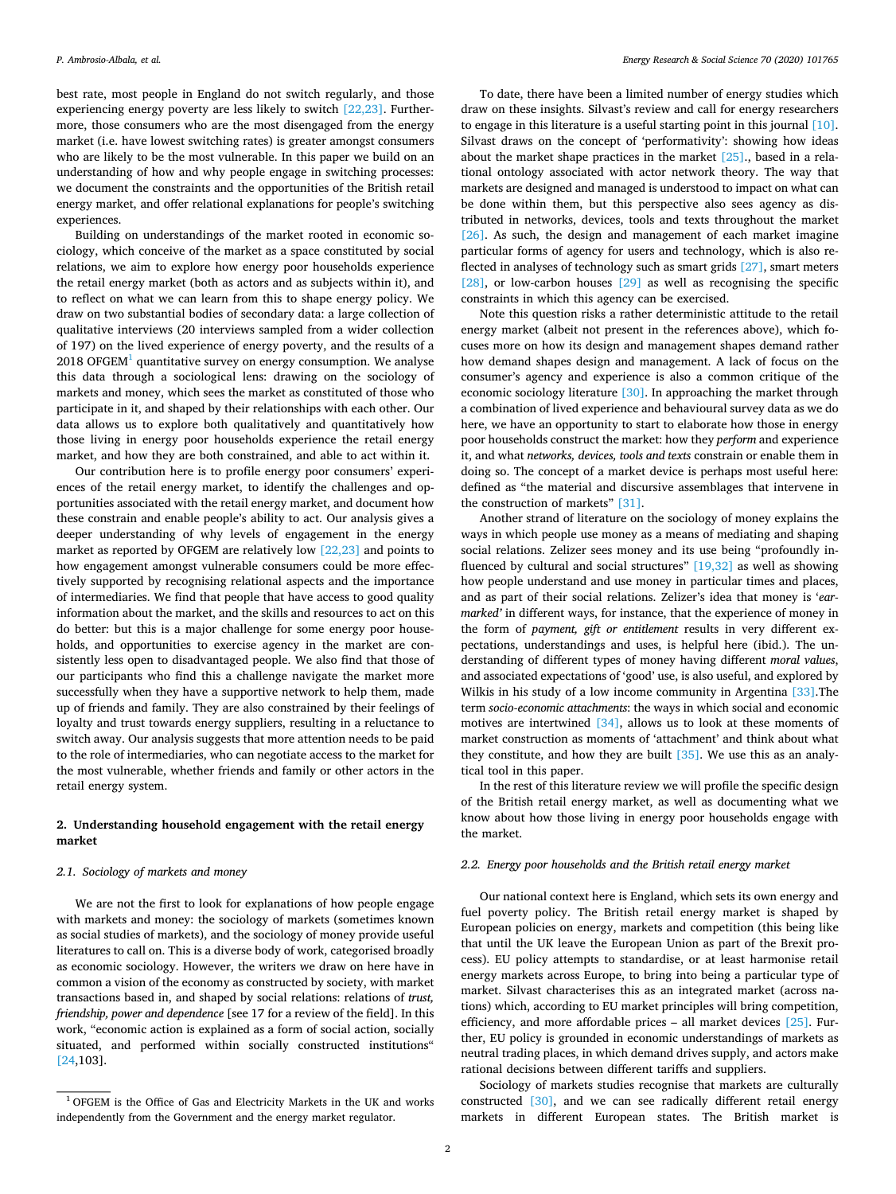best rate, most people in England do not switch regularly, and those experiencing energy poverty are less likely to switch [\[22,23\].](#page-9-3) Furthermore, those consumers who are the most disengaged from the energy market (i.e. have lowest switching rates) is greater amongst consumers who are likely to be the most vulnerable. In this paper we build on an understanding of how and why people engage in switching processes: we document the constraints and the opportunities of the British retail energy market, and offer relational explanations for people's switching experiences.

Building on understandings of the market rooted in economic sociology, which conceive of the market as a space constituted by social relations, we aim to explore how energy poor households experience the retail energy market (both as actors and as subjects within it), and to reflect on what we can learn from this to shape energy policy. We draw on two substantial bodies of secondary data: a large collection of qualitative interviews (20 interviews sampled from a wider collection of 197) on the lived experience of energy poverty, and the results of a  $2018$  $2018$  $2018$  OFGEM<sup>1</sup> quantitative survey on energy consumption. We analyse this data through a sociological lens: drawing on the sociology of markets and money, which sees the market as constituted of those who participate in it, and shaped by their relationships with each other. Our data allows us to explore both qualitatively and quantitatively how those living in energy poor households experience the retail energy market, and how they are both constrained, and able to act within it.

Our contribution here is to profile energy poor consumers' experiences of the retail energy market, to identify the challenges and opportunities associated with the retail energy market, and document how these constrain and enable people's ability to act. Our analysis gives a deeper understanding of why levels of engagement in the energy market as reported by OFGEM are relatively low [\[22,23\]](#page-9-3) and points to how engagement amongst vulnerable consumers could be more effectively supported by recognising relational aspects and the importance of intermediaries. We find that people that have access to good quality information about the market, and the skills and resources to act on this do better: but this is a major challenge for some energy poor households, and opportunities to exercise agency in the market are consistently less open to disadvantaged people. We also find that those of our participants who find this a challenge navigate the market more successfully when they have a supportive network to help them, made up of friends and family. They are also constrained by their feelings of loyalty and trust towards energy suppliers, resulting in a reluctance to switch away. Our analysis suggests that more attention needs to be paid to the role of intermediaries, who can negotiate access to the market for the most vulnerable, whether friends and family or other actors in the retail energy system.

## **2. Understanding household engagement with the retail energy market**

## *2.1. Sociology of markets and money*

We are not the first to look for explanations of how people engage with markets and money: the sociology of markets (sometimes known as social studies of markets), and the sociology of money provide useful literatures to call on. This is a diverse body of work, categorised broadly as economic sociology. However, the writers we draw on here have in common a vision of the economy as constructed by society, with market transactions based in, and shaped by social relations: relations of *trust, friendship, power and dependence* [see 17 for a review of the field]. In this work, "economic action is explained as a form of social action, socially situated, and performed within socially constructed institutions" [\[24,](#page-9-4)103].

To date, there have been a limited number of energy studies which draw on these insights. Silvast's review and call for energy researchers to engage in this literature is a useful starting point in this journal [\[10\]](#page-9-1). Silvast draws on the concept of 'performativity': showing how ideas about the market shape practices in the market  $[25]$ ., based in a relational ontology associated with actor network theory. The way that markets are designed and managed is understood to impact on what can be done within them, but this perspective also sees agency as distributed in networks, devices, tools and texts throughout the market [\[26\]](#page-9-6). As such, the design and management of each market imagine particular forms of agency for users and technology, which is also reflected in analyses of technology such as smart grids [\[27\],](#page-9-7) smart meters [\[28\]](#page-9-8), or low-carbon houses  $[29]$  as well as recognising the specific constraints in which this agency can be exercised.

Note this question risks a rather deterministic attitude to the retail energy market (albeit not present in the references above), which focuses more on how its design and management shapes demand rather how demand shapes design and management. A lack of focus on the consumer's agency and experience is also a common critique of the economic sociology literature [\[30\].](#page-9-10) In approaching the market through a combination of lived experience and behavioural survey data as we do here, we have an opportunity to start to elaborate how those in energy poor households construct the market: how they *perform* and experience it, and what *networks, devices, tools and texts* constrain or enable them in doing so. The concept of a market device is perhaps most useful here: defined as "the material and discursive assemblages that intervene in the construction of markets" [\[31\]](#page-9-11).

Another strand of literature on the sociology of money explains the ways in which people use money as a means of mediating and shaping social relations. Zelizer sees money and its use being "profoundly influenced by cultural and social structures" [\[19,32\]](#page-9-12) as well as showing how people understand and use money in particular times and places, and as part of their social relations. Zelizer's idea that money is '*earmarked'* in different ways, for instance, that the experience of money in the form of *payment, gift or entitlement* results in very different expectations, understandings and uses, is helpful here (ibid.). The understanding of different types of money having different *moral values*, and associated expectations of 'good' use, is also useful, and explored by Wilkis in his study of a low income community in Argentina [\[33\]](#page-9-13).The term *socio-economic attachments*: the ways in which social and economic motives are intertwined [\[34\],](#page-9-14) allows us to look at these moments of market construction as moments of 'attachment' and think about what they constitute, and how they are built [\[35\]](#page-9-15). We use this as an analytical tool in this paper.

In the rest of this literature review we will profile the specific design of the British retail energy market, as well as documenting what we know about how those living in energy poor households engage with the market.

## *2.2. Energy poor households and the British retail energy market*

Our national context here is England, which sets its own energy and fuel poverty policy. The British retail energy market is shaped by European policies on energy, markets and competition (this being like that until the UK leave the European Union as part of the Brexit process). EU policy attempts to standardise, or at least harmonise retail energy markets across Europe, to bring into being a particular type of market. Silvast characterises this as an integrated market (across nations) which, according to EU market principles will bring competition, efficiency, and more affordable prices – all market devices [\[25\].](#page-9-5) Further, EU policy is grounded in economic understandings of markets as neutral trading places, in which demand drives supply, and actors make rational decisions between different tariffs and suppliers.

Sociology of markets studies recognise that markets are culturally constructed [\[30\],](#page-9-10) and we can see radically different retail energy markets in different European states. The British market is

<span id="page-1-0"></span><sup>1</sup> OFGEM is the Office of Gas and Electricity Markets in the UK and works independently from the Government and the energy market regulator.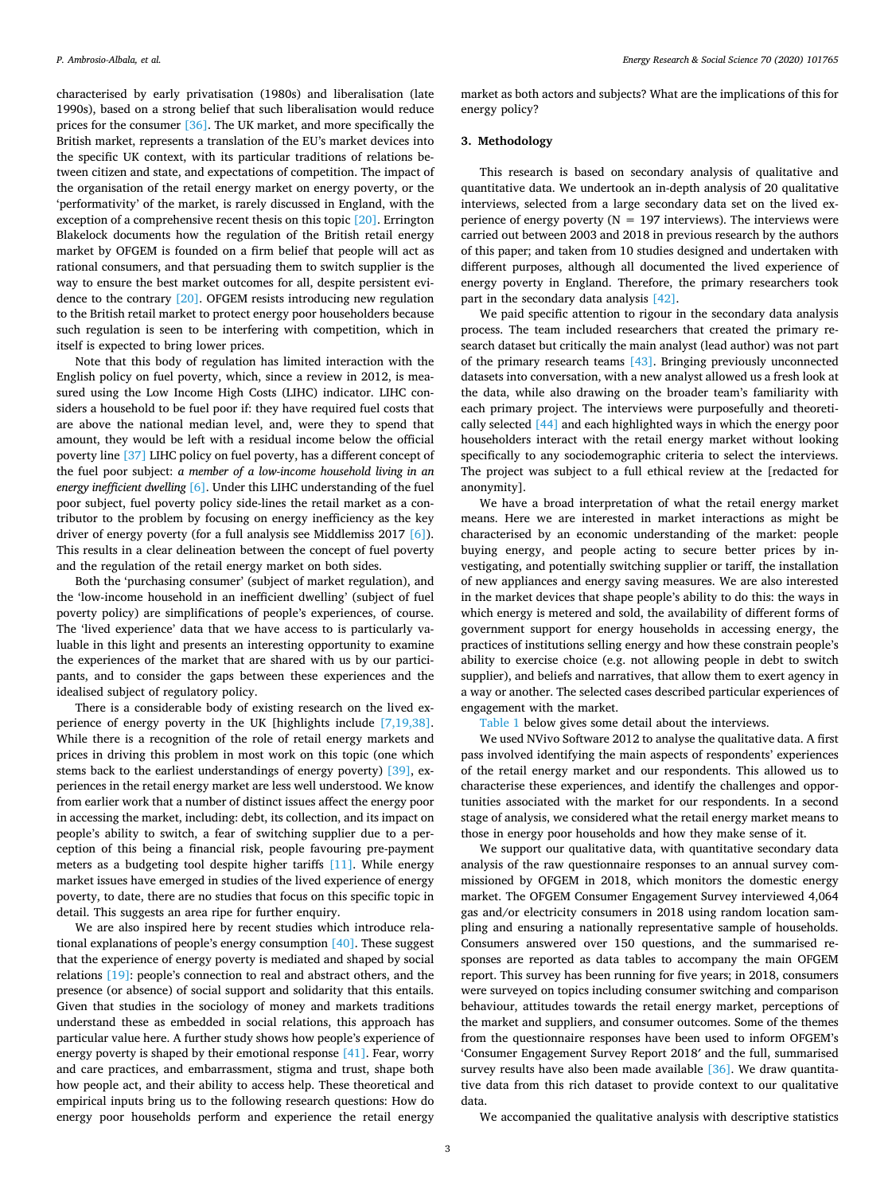characterised by early privatisation (1980s) and liberalisation (late 1990s), based on a strong belief that such liberalisation would reduce prices for the consumer [\[36\]](#page-9-16). The UK market, and more specifically the British market, represents a translation of the EU's market devices into the specific UK context, with its particular traditions of relations between citizen and state, and expectations of competition. The impact of the organisation of the retail energy market on energy poverty, or the 'performativity' of the market, is rarely discussed in England, with the exception of a comprehensive recent thesis on this topic [\[20\].](#page-9-2) Errington Blakelock documents how the regulation of the British retail energy market by OFGEM is founded on a firm belief that people will act as rational consumers, and that persuading them to switch supplier is the way to ensure the best market outcomes for all, despite persistent evidence to the contrary [\[20\]](#page-9-2). OFGEM resists introducing new regulation to the British retail market to protect energy poor householders because such regulation is seen to be interfering with competition, which in itself is expected to bring lower prices.

Note that this body of regulation has limited interaction with the English policy on fuel poverty, which, since a review in 2012, is measured using the Low Income High Costs (LIHC) indicator. LIHC considers a household to be fuel poor if: they have required fuel costs that are above the national median level, and, were they to spend that amount, they would be left with a residual income below the official poverty line [\[37\]](#page-9-17) LIHC policy on fuel poverty, has a different concept of the fuel poor subject: *a member of a low-income household living in an energy inefficient dwelling* [\[6\].](#page-9-18) Under this LIHC understanding of the fuel poor subject, fuel poverty policy side-lines the retail market as a contributor to the problem by focusing on energy inefficiency as the key driver of energy poverty (for a full analysis see Middlemiss 2017 [\[6\]](#page-9-18)). This results in a clear delineation between the concept of fuel poverty and the regulation of the retail energy market on both sides.

Both the 'purchasing consumer' (subject of market regulation), and the 'low-income household in an inefficient dwelling' (subject of fuel poverty policy) are simplifications of people's experiences, of course. The 'lived experience' data that we have access to is particularly valuable in this light and presents an interesting opportunity to examine the experiences of the market that are shared with us by our participants, and to consider the gaps between these experiences and the idealised subject of regulatory policy.

There is a considerable body of existing research on the lived experience of energy poverty in the UK [highlights include [\[7,19,38\]](#page-9-19). While there is a recognition of the role of retail energy markets and prices in driving this problem in most work on this topic (one which stems back to the earliest understandings of energy poverty) [\[39\]](#page-9-20), experiences in the retail energy market are less well understood. We know from earlier work that a number of distinct issues affect the energy poor in accessing the market, including: debt, its collection, and its impact on people's ability to switch, a fear of switching supplier due to a perception of this being a financial risk, people favouring pre-payment meters as a budgeting tool despite higher tariffs [\[11\].](#page-9-21) While energy market issues have emerged in studies of the lived experience of energy poverty, to date, there are no studies that focus on this specific topic in detail. This suggests an area ripe for further enquiry.

We are also inspired here by recent studies which introduce relational explanations of people's energy consumption [\[40\].](#page-9-22) These suggest that the experience of energy poverty is mediated and shaped by social relations [\[19\]](#page-9-12): people's connection to real and abstract others, and the presence (or absence) of social support and solidarity that this entails. Given that studies in the sociology of money and markets traditions understand these as embedded in social relations, this approach has particular value here. A further study shows how people's experience of energy poverty is shaped by their emotional response  $[41]$ . Fear, worry and care practices, and embarrassment, stigma and trust, shape both how people act, and their ability to access help. These theoretical and empirical inputs bring us to the following research questions: How do energy poor households perform and experience the retail energy

market as both actors and subjects? What are the implications of this for energy policy?

## **3. Methodology**

This research is based on secondary analysis of qualitative and quantitative data. We undertook an in-depth analysis of 20 qualitative interviews, selected from a large secondary data set on the lived experience of energy poverty ( $N = 197$  interviews). The interviews were carried out between 2003 and 2018 in previous research by the authors of this paper; and taken from 10 studies designed and undertaken with different purposes, although all documented the lived experience of energy poverty in England. Therefore, the primary researchers took part in the secondary data analysis [\[42\].](#page-9-24)

We paid specific attention to rigour in the secondary data analysis process. The team included researchers that created the primary research dataset but critically the main analyst (lead author) was not part of the primary research teams [\[43\]](#page-9-25). Bringing previously unconnected datasets into conversation, with a new analyst allowed us a fresh look at the data, while also drawing on the broader team's familiarity with each primary project. The interviews were purposefully and theoretically selected [\[44\]](#page-9-26) and each highlighted ways in which the energy poor householders interact with the retail energy market without looking specifically to any sociodemographic criteria to select the interviews. The project was subject to a full ethical review at the [redacted for anonymity].

We have a broad interpretation of what the retail energy market means. Here we are interested in market interactions as might be characterised by an economic understanding of the market: people buying energy, and people acting to secure better prices by investigating, and potentially switching supplier or tariff, the installation of new appliances and energy saving measures. We are also interested in the market devices that shape people's ability to do this: the ways in which energy is metered and sold, the availability of different forms of government support for energy households in accessing energy, the practices of institutions selling energy and how these constrain people's ability to exercise choice (e.g. not allowing people in debt to switch supplier), and beliefs and narratives, that allow them to exert agency in a way or another. The selected cases described particular experiences of engagement with the market.

[Table 1](#page-3-0) below gives some detail about the interviews.

We used NVivo Software 2012 to analyse the qualitative data. A first pass involved identifying the main aspects of respondents' experiences of the retail energy market and our respondents. This allowed us to characterise these experiences, and identify the challenges and opportunities associated with the market for our respondents. In a second stage of analysis, we considered what the retail energy market means to those in energy poor households and how they make sense of it.

We support our qualitative data, with quantitative secondary data analysis of the raw questionnaire responses to an annual survey commissioned by OFGEM in 2018, which monitors the domestic energy market. The OFGEM Consumer Engagement Survey interviewed 4,064 gas and/or electricity consumers in 2018 using random location sampling and ensuring a nationally representative sample of households. Consumers answered over 150 questions, and the summarised responses are reported as data tables to accompany the main OFGEM report. This survey has been running for five years; in 2018, consumers were surveyed on topics including consumer switching and comparison behaviour, attitudes towards the retail energy market, perceptions of the market and suppliers, and consumer outcomes. Some of the themes from the questionnaire responses have been used to inform OFGEM's 'Consumer Engagement Survey Report 2018′ and the full, summarised survey results have also been made available  $[36]$ . We draw quantitative data from this rich dataset to provide context to our qualitative data.

We accompanied the qualitative analysis with descriptive statistics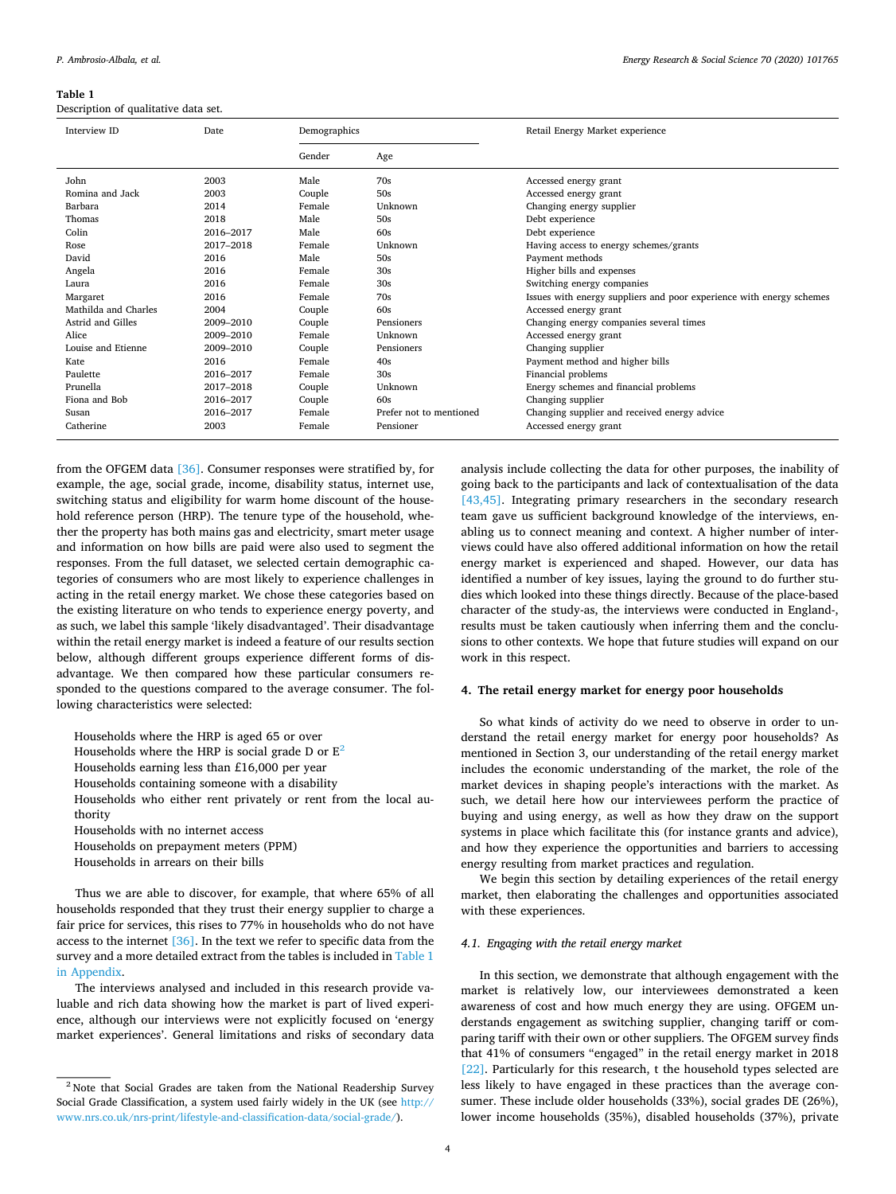#### <span id="page-3-0"></span>**Table 1**

Description of qualitative data set.

| Interview ID         | Date      | Demographics |                         | Retail Energy Market experience                                      |
|----------------------|-----------|--------------|-------------------------|----------------------------------------------------------------------|
|                      |           | Gender       | Age                     |                                                                      |
| John                 | 2003      | Male         | 70s                     | Accessed energy grant                                                |
| Romina and Jack      | 2003      | Couple       | 50s                     | Accessed energy grant                                                |
| Barbara              | 2014      | Female       | Unknown                 | Changing energy supplier                                             |
| Thomas               | 2018      | Male         | 50s                     | Debt experience                                                      |
| Colin                | 2016-2017 | Male         | 60s                     | Debt experience                                                      |
| Rose                 | 2017-2018 | Female       | Unknown                 | Having access to energy schemes/grants                               |
| David                | 2016      | Male         | 50s                     | Payment methods                                                      |
| Angela               | 2016      | Female       | 30s                     | Higher bills and expenses                                            |
| Laura                | 2016      | Female       | 30s                     | Switching energy companies                                           |
| Margaret             | 2016      | Female       | 70s                     | Issues with energy suppliers and poor experience with energy schemes |
| Mathilda and Charles | 2004      | Couple       | 60s                     | Accessed energy grant                                                |
| Astrid and Gilles    | 2009-2010 | Couple       | Pensioners              | Changing energy companies several times                              |
| Alice                | 2009-2010 | Female       | Unknown                 | Accessed energy grant                                                |
| Louise and Etienne   | 2009-2010 | Couple       | Pensioners              | Changing supplier                                                    |
| Kate                 | 2016      | Female       | 40s                     | Payment method and higher bills                                      |
| Paulette             | 2016-2017 | Female       | 30s                     | Financial problems                                                   |
| Prunella             | 2017-2018 | Couple       | Unknown                 | Energy schemes and financial problems                                |
| Fiona and Bob        | 2016-2017 | Couple       | 60s                     | Changing supplier                                                    |
| Susan                | 2016-2017 | Female       | Prefer not to mentioned | Changing supplier and received energy advice                         |
| Catherine            | 2003      | Female       | Pensioner               | Accessed energy grant                                                |

from the OFGEM data [\[36\]](#page-9-16). Consumer responses were stratified by, for example, the age, social grade, income, disability status, internet use, switching status and eligibility for warm home discount of the household reference person (HRP). The tenure type of the household, whether the property has both mains gas and electricity, smart meter usage and information on how bills are paid were also used to segment the responses. From the full dataset, we selected certain demographic categories of consumers who are most likely to experience challenges in acting in the retail energy market. We chose these categories based on the existing literature on who tends to experience energy poverty, and as such, we label this sample 'likely disadvantaged'. Their disadvantage within the retail energy market is indeed a feature of our results section below, although different groups experience different forms of disadvantage. We then compared how these particular consumers responded to the questions compared to the average consumer. The following characteristics were selected:

Households where the HRP is aged 65 or over

Households where the HRP is social grade D or  $E^2$  $E^2$ 

Households earning less than £16,000 per year

Households containing someone with a disability

Households who either rent privately or rent from the local authority

Households with no internet access

Households on prepayment meters (PPM)

Households in arrears on their bills

Thus we are able to discover, for example, that where 65% of all households responded that they trust their energy supplier to charge a fair price for services, this rises to 77% in households who do not have access to the internet [\[36\].](#page-9-16) In the text we refer to specific data from the survey and a more detailed extract from the tables is included in [Table 1](#page-0-9) [in Appendix.](#page-0-9)

The interviews analysed and included in this research provide valuable and rich data showing how the market is part of lived experience, although our interviews were not explicitly focused on 'energy market experiences'. General limitations and risks of secondary data

analysis include collecting the data for other purposes, the inability of going back to the participants and lack of contextualisation of the data [\[43,45\].](#page-9-25) Integrating primary researchers in the secondary research team gave us sufficient background knowledge of the interviews, enabling us to connect meaning and context. A higher number of interviews could have also offered additional information on how the retail energy market is experienced and shaped. However, our data has identified a number of key issues, laying the ground to do further studies which looked into these things directly. Because of the place-based character of the study-as, the interviews were conducted in England-, results must be taken cautiously when inferring them and the conclusions to other contexts. We hope that future studies will expand on our work in this respect.

#### **4. The retail energy market for energy poor households**

So what kinds of activity do we need to observe in order to understand the retail energy market for energy poor households? As mentioned in Section 3, our understanding of the retail energy market includes the economic understanding of the market, the role of the market devices in shaping people's interactions with the market. As such, we detail here how our interviewees perform the practice of buying and using energy, as well as how they draw on the support systems in place which facilitate this (for instance grants and advice), and how they experience the opportunities and barriers to accessing energy resulting from market practices and regulation.

We begin this section by detailing experiences of the retail energy market, then elaborating the challenges and opportunities associated with these experiences.

## *4.1. Engaging with the retail energy market*

In this section, we demonstrate that although engagement with the market is relatively low, our interviewees demonstrated a keen awareness of cost and how much energy they are using. OFGEM understands engagement as switching supplier, changing tariff or comparing tariff with their own or other suppliers. The OFGEM survey finds that 41% of consumers "engaged" in the retail energy market in 2018 [\[22\]](#page-9-3). Particularly for this research, t the household types selected are less likely to have engaged in these practices than the average consumer. These include older households (33%), social grades DE (26%), lower income households (35%), disabled households (37%), private

<span id="page-3-1"></span><sup>2</sup> Note that Social Grades are taken from the National Readership Survey Social Grade Classification, a system used fairly widely in the UK (see [http://](http://www.nrs.co.uk/nrs-print/lifestyle-and-classification-data/social-grade/) [www.nrs.co.uk/nrs-print/lifestyle-and-classification-data/social-grade/\)](http://www.nrs.co.uk/nrs-print/lifestyle-and-classification-data/social-grade/).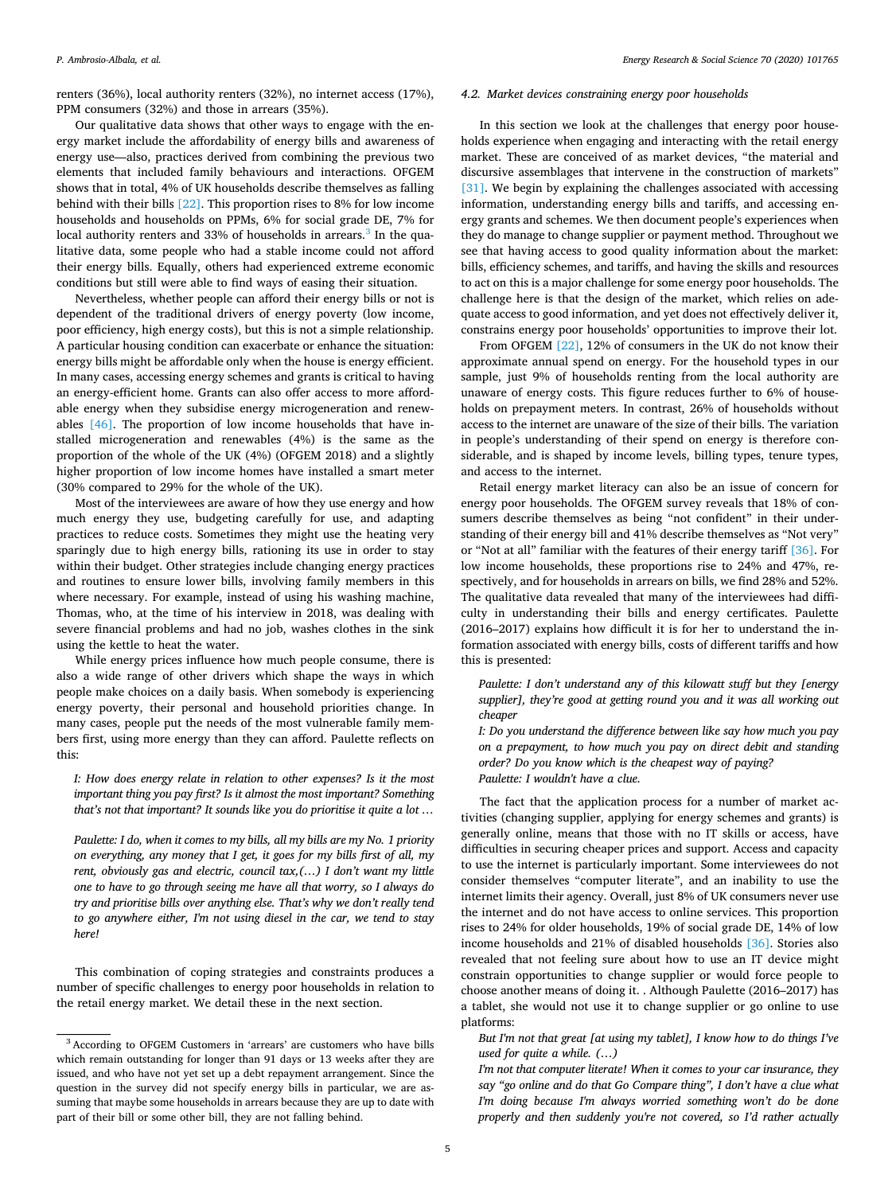renters (36%), local authority renters (32%), no internet access (17%), PPM consumers (32%) and those in arrears (35%).

Our qualitative data shows that other ways to engage with the energy market include the affordability of energy bills and awareness of energy use—also, practices derived from combining the previous two elements that included family behaviours and interactions. OFGEM shows that in total, 4% of UK households describe themselves as falling behind with their bills [\[22\].](#page-9-3) This proportion rises to 8% for low income households and households on PPMs, 6% for social grade DE, 7% for local authority renters and 33% of households in arrears.<sup>3</sup> In the qualitative data, some people who had a stable income could not afford their energy bills. Equally, others had experienced extreme economic conditions but still were able to find ways of easing their situation.

Nevertheless, whether people can afford their energy bills or not is dependent of the traditional drivers of energy poverty (low income, poor efficiency, high energy costs), but this is not a simple relationship. A particular housing condition can exacerbate or enhance the situation: energy bills might be affordable only when the house is energy efficient. In many cases, accessing energy schemes and grants is critical to having an energy-efficient home. Grants can also offer access to more affordable energy when they subsidise energy microgeneration and renewables [\[46\]](#page-9-27). The proportion of low income households that have installed microgeneration and renewables (4%) is the same as the proportion of the whole of the UK (4%) (OFGEM 2018) and a slightly higher proportion of low income homes have installed a smart meter (30% compared to 29% for the whole of the UK).

Most of the interviewees are aware of how they use energy and how much energy they use, budgeting carefully for use, and adapting practices to reduce costs. Sometimes they might use the heating very sparingly due to high energy bills, rationing its use in order to stay within their budget. Other strategies include changing energy practices and routines to ensure lower bills, involving family members in this where necessary. For example, instead of using his washing machine, Thomas, who, at the time of his interview in 2018, was dealing with severe financial problems and had no job, washes clothes in the sink using the kettle to heat the water.

While energy prices influence how much people consume, there is also a wide range of other drivers which shape the ways in which people make choices on a daily basis. When somebody is experiencing energy poverty, their personal and household priorities change. In many cases, people put the needs of the most vulnerable family members first, using more energy than they can afford. Paulette reflects on this:

*I: How does energy relate in relation to other expenses? Is it the most important thing you pay first? Is it almost the most important? Something that's not that important? It sounds like you do prioritise it quite a lot …*

*Paulette: I do, when it comes to my bills, all my bills are my No. 1 priority on everything, any money that I get, it goes for my bills first of all, my rent, obviously gas and electric, council tax,(…) I don't want my little one to have to go through seeing me have all that worry, so I always do try and prioritise bills over anything else. That's why we don't really tend to go anywhere either, I'm not using diesel in the car, we tend to stay here!*

This combination of coping strategies and constraints produces a number of specific challenges to energy poor households in relation to the retail energy market. We detail these in the next section.

#### *4.2. Market devices constraining energy poor households*

In this section we look at the challenges that energy poor households experience when engaging and interacting with the retail energy market. These are conceived of as market devices, "the material and discursive assemblages that intervene in the construction of markets" [\[31\]](#page-9-11). We begin by explaining the challenges associated with accessing information, understanding energy bills and tariffs, and accessing energy grants and schemes. We then document people's experiences when they do manage to change supplier or payment method. Throughout we see that having access to good quality information about the market: bills, efficiency schemes, and tariffs, and having the skills and resources to act on this is a major challenge for some energy poor households. The challenge here is that the design of the market, which relies on adequate access to good information, and yet does not effectively deliver it, constrains energy poor households' opportunities to improve their lot.

From OFGEM [\[22\],](#page-9-3) 12% of consumers in the UK do not know their approximate annual spend on energy. For the household types in our sample, just 9% of households renting from the local authority are unaware of energy costs. This figure reduces further to 6% of households on prepayment meters. In contrast, 26% of households without access to the internet are unaware of the size of their bills. The variation in people's understanding of their spend on energy is therefore considerable, and is shaped by income levels, billing types, tenure types, and access to the internet.

Retail energy market literacy can also be an issue of concern for energy poor households. The OFGEM survey reveals that 18% of consumers describe themselves as being "not confident" in their understanding of their energy bill and 41% describe themselves as "Not very" or "Not at all" familiar with the features of their energy tariff [\[36\]](#page-9-16). For low income households, these proportions rise to 24% and 47%, respectively, and for households in arrears on bills, we find 28% and 52%. The qualitative data revealed that many of the interviewees had difficulty in understanding their bills and energy certificates. Paulette (2016–2017) explains how difficult it is for her to understand the information associated with energy bills, costs of different tariffs and how this is presented:

*Paulette: I don't understand any of this kilowatt stuff but they [energy supplier], they're good at getting round you and it was all working out cheaper*

*I: Do you understand the difference between like say how much you pay on a prepayment, to how much you pay on direct debit and standing order? Do you know which is the cheapest way of paying? Paulette: I wouldn't have a clue.*

The fact that the application process for a number of market activities (changing supplier, applying for energy schemes and grants) is generally online, means that those with no IT skills or access, have difficulties in securing cheaper prices and support. Access and capacity to use the internet is particularly important. Some interviewees do not consider themselves "computer literate", and an inability to use the internet limits their agency. Overall, just 8% of UK consumers never use the internet and do not have access to online services. This proportion rises to 24% for older households, 19% of social grade DE, 14% of low income households and 21% of disabled households [\[36\]](#page-9-16). Stories also revealed that not feeling sure about how to use an IT device might constrain opportunities to change supplier or would force people to choose another means of doing it. . Although Paulette (2016–2017) has a tablet, she would not use it to change supplier or go online to use platforms:

*But I'm not that great [at using my tablet], I know how to do things I've used for quite a while. (…)*

*I'm not that computer literate! When it comes to your car insurance, they say "go online and do that Go Compare thing", I don't have a clue what I'm doing because I'm always worried something won't do be done properly and then suddenly you're not covered, so I'd rather actually*

<span id="page-4-0"></span><sup>3</sup> According to OFGEM Customers in 'arrears' are customers who have bills which remain outstanding for longer than 91 days or 13 weeks after they are issued, and who have not yet set up a debt repayment arrangement. Since the question in the survey did not specify energy bills in particular, we are assuming that maybe some households in arrears because they are up to date with part of their bill or some other bill, they are not falling behind.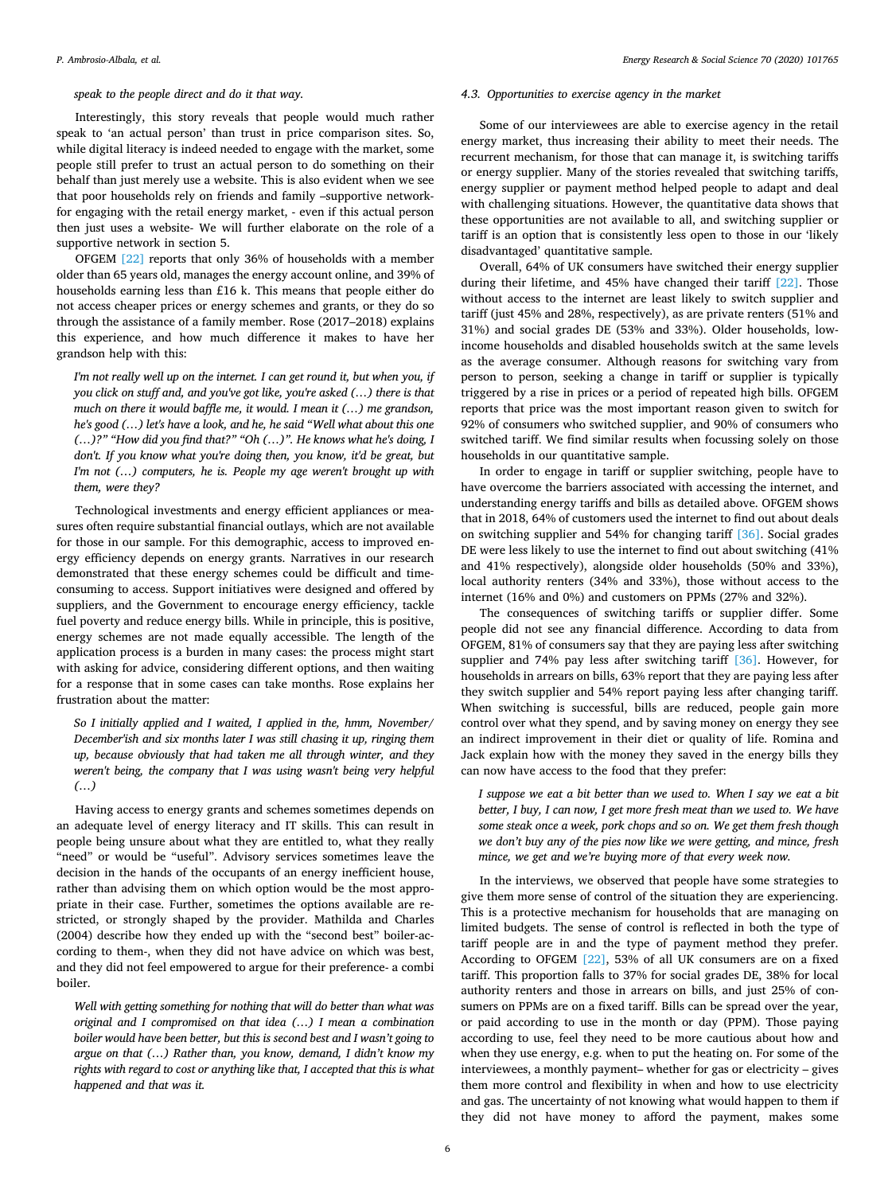#### *speak to the people direct and do it that way.*

Interestingly, this story reveals that people would much rather speak to 'an actual person' than trust in price comparison sites. So, while digital literacy is indeed needed to engage with the market, some people still prefer to trust an actual person to do something on their behalf than just merely use a website. This is also evident when we see that poor households rely on friends and family –supportive networkfor engaging with the retail energy market, - even if this actual person then just uses a website- We will further elaborate on the role of a supportive network in section 5.

OFGEM [\[22\]](#page-9-3) reports that only 36% of households with a member older than 65 years old, manages the energy account online, and 39% of households earning less than £16 k. This means that people either do not access cheaper prices or energy schemes and grants, or they do so through the assistance of a family member. Rose (2017–2018) explains this experience, and how much difference it makes to have her grandson help with this:

*I'm not really well up on the internet. I can get round it, but when you, if you click on stuff and, and you've got like, you're asked (…) there is that much on there it would baffle me, it would. I mean it (…) me grandson, he's good (…) let's have a look, and he, he said "Well what about this one (…)?" "How did you find that?" "Oh (…)". He knows what he's doing, I don't. If you know what you're doing then, you know, it'd be great, but I'm not (…) computers, he is. People my age weren't brought up with them, were they?*

Technological investments and energy efficient appliances or measures often require substantial financial outlays, which are not available for those in our sample. For this demographic, access to improved energy efficiency depends on energy grants. Narratives in our research demonstrated that these energy schemes could be difficult and timeconsuming to access. Support initiatives were designed and offered by suppliers, and the Government to encourage energy efficiency, tackle fuel poverty and reduce energy bills. While in principle, this is positive, energy schemes are not made equally accessible. The length of the application process is a burden in many cases: the process might start with asking for advice, considering different options, and then waiting for a response that in some cases can take months. Rose explains her frustration about the matter:

*So I initially applied and I waited, I applied in the, hmm, November/ December'ish and six months later I was still chasing it up, ringing them up, because obviously that had taken me all through winter, and they weren't being, the company that I was using wasn't being very helpful (…)*

Having access to energy grants and schemes sometimes depends on an adequate level of energy literacy and IT skills. This can result in people being unsure about what they are entitled to, what they really "need" or would be "useful". Advisory services sometimes leave the decision in the hands of the occupants of an energy inefficient house, rather than advising them on which option would be the most appropriate in their case. Further, sometimes the options available are restricted, or strongly shaped by the provider. Mathilda and Charles (2004) describe how they ended up with the "second best" boiler-according to them-, when they did not have advice on which was best, and they did not feel empowered to argue for their preference- a combi boiler.

*Well with getting something for nothing that will do better than what was original and I compromised on that idea (…) I mean a combination boiler would have been better, but this is second best and I wasn't going to argue on that (…) Rather than, you know, demand, I didn't know my rights with regard to cost or anything like that, I accepted that this is what happened and that was it.*

#### *4.3. Opportunities to exercise agency in the market*

Some of our interviewees are able to exercise agency in the retail energy market, thus increasing their ability to meet their needs. The recurrent mechanism, for those that can manage it, is switching tariffs or energy supplier. Many of the stories revealed that switching tariffs, energy supplier or payment method helped people to adapt and deal with challenging situations. However, the quantitative data shows that these opportunities are not available to all, and switching supplier or tariff is an option that is consistently less open to those in our 'likely disadvantaged' quantitative sample.

Overall, 64% of UK consumers have switched their energy supplier during their lifetime, and 45% have changed their tariff [\[22\]](#page-9-3). Those without access to the internet are least likely to switch supplier and tariff (just 45% and 28%, respectively), as are private renters (51% and 31%) and social grades DE (53% and 33%). Older households, lowincome households and disabled households switch at the same levels as the average consumer. Although reasons for switching vary from person to person, seeking a change in tariff or supplier is typically triggered by a rise in prices or a period of repeated high bills. OFGEM reports that price was the most important reason given to switch for 92% of consumers who switched supplier, and 90% of consumers who switched tariff. We find similar results when focussing solely on those households in our quantitative sample.

In order to engage in tariff or supplier switching, people have to have overcome the barriers associated with accessing the internet, and understanding energy tariffs and bills as detailed above. OFGEM shows that in 2018, 64% of customers used the internet to find out about deals on switching supplier and 54% for changing tariff [\[36\].](#page-9-16) Social grades DE were less likely to use the internet to find out about switching (41% and 41% respectively), alongside older households (50% and 33%), local authority renters (34% and 33%), those without access to the internet (16% and 0%) and customers on PPMs (27% and 32%).

The consequences of switching tariffs or supplier differ. Some people did not see any financial difference. According to data from OFGEM, 81% of consumers say that they are paying less after switching supplier and 74% pay less after switching tariff [\[36\].](#page-9-16) However, for households in arrears on bills, 63% report that they are paying less after they switch supplier and 54% report paying less after changing tariff. When switching is successful, bills are reduced, people gain more control over what they spend, and by saving money on energy they see an indirect improvement in their diet or quality of life. Romina and Jack explain how with the money they saved in the energy bills they can now have access to the food that they prefer:

*I suppose we eat a bit better than we used to. When I say we eat a bit better, I buy, I can now, I get more fresh meat than we used to. We have some steak once a week, pork chops and so on. We get them fresh though we don't buy any of the pies now like we were getting, and mince, fresh mince, we get and we're buying more of that every week now.*

In the interviews, we observed that people have some strategies to give them more sense of control of the situation they are experiencing. This is a protective mechanism for households that are managing on limited budgets. The sense of control is reflected in both the type of tariff people are in and the type of payment method they prefer. According to OFGEM [\[22\],](#page-9-3) 53% of all UK consumers are on a fixed tariff. This proportion falls to 37% for social grades DE, 38% for local authority renters and those in arrears on bills, and just 25% of consumers on PPMs are on a fixed tariff. Bills can be spread over the year, or paid according to use in the month or day (PPM). Those paying according to use, feel they need to be more cautious about how and when they use energy, e.g. when to put the heating on. For some of the interviewees, a monthly payment– whether for gas or electricity – gives them more control and flexibility in when and how to use electricity and gas. The uncertainty of not knowing what would happen to them if they did not have money to afford the payment, makes some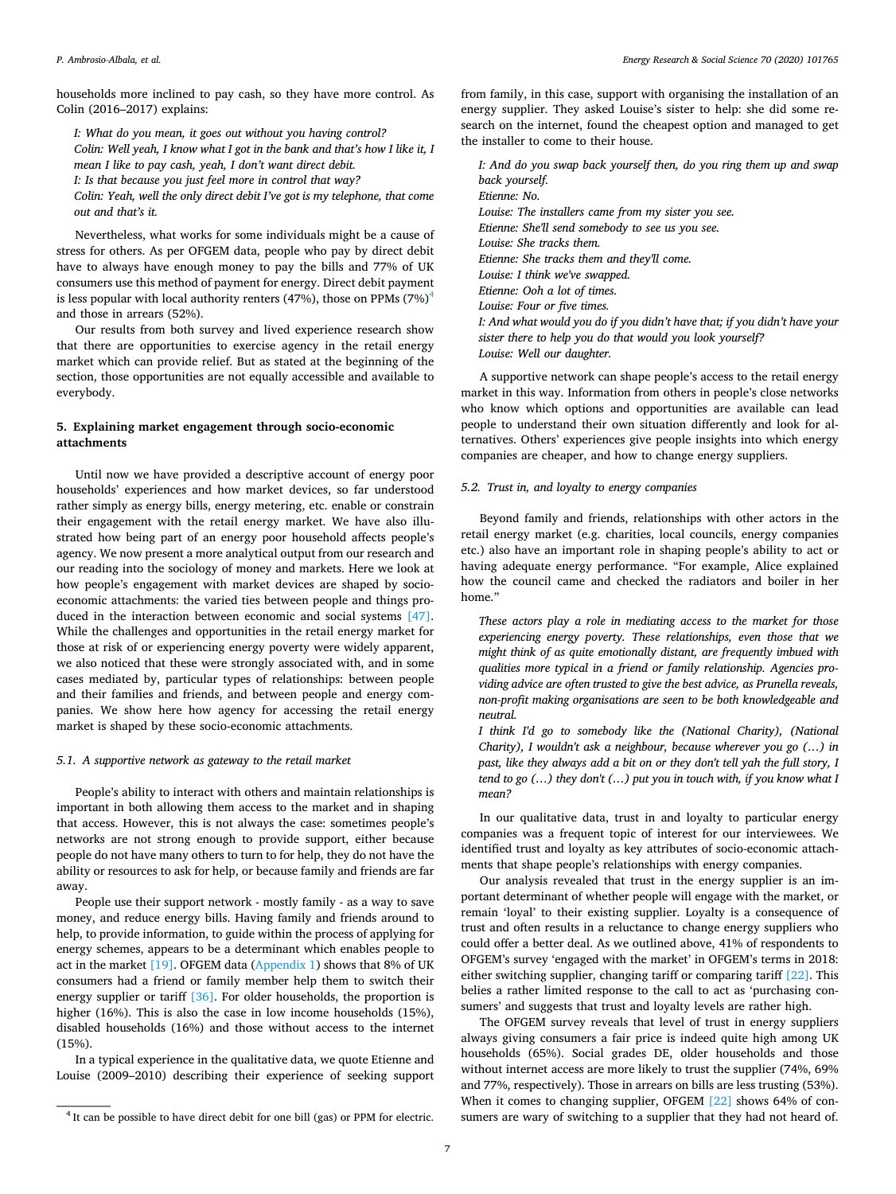households more inclined to pay cash, so they have more control. As Colin (2016–2017) explains:

*I: What do you mean, it goes out without you having control? Colin: Well yeah, I know what I got in the bank and that's how I like it, I mean I like to pay cash, yeah, I don't want direct debit. I: Is that because you just feel more in control that way? Colin: Yeah, well the only direct debit I've got is my telephone, that come out and that's it.*

Nevertheless, what works for some individuals might be a cause of stress for others. As per OFGEM data, people who pay by direct debit have to always have enough money to pay the bills and 77% of UK consumers use this method of payment for energy. Direct debit payment is less popular with local authority renters (47%), those on PPMs  $(7%)^4$ and those in arrears (52%).

Our results from both survey and lived experience research show that there are opportunities to exercise agency in the retail energy market which can provide relief. But as stated at the beginning of the section, those opportunities are not equally accessible and available to everybody.

## **5. Explaining market engagement through socio-economic attachments**

Until now we have provided a descriptive account of energy poor households' experiences and how market devices, so far understood rather simply as energy bills, energy metering, etc. enable or constrain their engagement with the retail energy market. We have also illustrated how being part of an energy poor household affects people's agency. We now present a more analytical output from our research and our reading into the sociology of money and markets. Here we look at how people's engagement with market devices are shaped by socioeconomic attachments: the varied ties between people and things produced in the interaction between economic and social systems [\[47\]](#page-9-28). While the challenges and opportunities in the retail energy market for those at risk of or experiencing energy poverty were widely apparent, we also noticed that these were strongly associated with, and in some cases mediated by, particular types of relationships: between people and their families and friends, and between people and energy companies. We show here how agency for accessing the retail energy market is shaped by these socio-economic attachments.

## *5.1. A supportive network as gateway to the retail market*

People's ability to interact with others and maintain relationships is important in both allowing them access to the market and in shaping that access. However, this is not always the case: sometimes people's networks are not strong enough to provide support, either because people do not have many others to turn to for help, they do not have the ability or resources to ask for help, or because family and friends are far away.

People use their support network - mostly family - as a way to save money, and reduce energy bills. Having family and friends around to help, to provide information, to guide within the process of applying for energy schemes, appears to be a determinant which enables people to act in the market [\[19\]](#page-9-12). OFGEM data ([Appendix 1](#page-0-9)) shows that 8% of UK consumers had a friend or family member help them to switch their energy supplier or tariff [\[36\]](#page-9-16). For older households, the proportion is higher (16%). This is also the case in low income households (15%), disabled households (16%) and those without access to the internet  $(15%)$ .

In a typical experience in the qualitative data, we quote Etienne and Louise (2009–2010) describing their experience of seeking support from family, in this case, support with organising the installation of an energy supplier. They asked Louise's sister to help: she did some research on the internet, found the cheapest option and managed to get the installer to come to their house.

*I: And do you swap back yourself then, do you ring them up and swap back yourself. Etienne: No. Louise: The installers came from my sister you see. Etienne: She'll send somebody to see us you see. Louise: She tracks them. Etienne: She tracks them and they'll come. Louise: I think we've swapped. Etienne: Ooh a lot of times. Louise: Four or five times. I: And what would you do if you didn't have that; if you didn't have your sister there to help you do that would you look yourself? Louise: Well our daughter.*

A supportive network can shape people's access to the retail energy market in this way. Information from others in people's close networks who know which options and opportunities are available can lead people to understand their own situation differently and look for alternatives. Others' experiences give people insights into which energy companies are cheaper, and how to change energy suppliers.

#### *5.2. Trust in, and loyalty to energy companies*

Beyond family and friends, relationships with other actors in the retail energy market (e.g. charities, local councils, energy companies etc.) also have an important role in shaping people's ability to act or having adequate energy performance. "For example, Alice explained how the council came and checked the radiators and boiler in her home."

*These actors play a role in mediating access to the market for those experiencing energy poverty. These relationships, even those that we might think of as quite emotionally distant, are frequently imbued with qualities more typical in a friend or family relationship. Agencies providing advice are often trusted to give the best advice, as Prunella reveals, non-profit making organisations are seen to be both knowledgeable and neutral.*

*I think I'd go to somebody like the (National Charity), (National Charity), I wouldn't ask a neighbour, because wherever you go (…) in past, like they always add a bit on or they don't tell yah the full story, I tend to go (…) they don't (…) put you in touch with, if you know what I mean?*

In our qualitative data, trust in and loyalty to particular energy companies was a frequent topic of interest for our interviewees. We identified trust and loyalty as key attributes of socio-economic attachments that shape people's relationships with energy companies.

Our analysis revealed that trust in the energy supplier is an important determinant of whether people will engage with the market, or remain 'loyal' to their existing supplier. Loyalty is a consequence of trust and often results in a reluctance to change energy suppliers who could offer a better deal. As we outlined above, 41% of respondents to OFGEM's survey 'engaged with the market' in OFGEM's terms in 2018: either switching supplier, changing tariff or comparing tariff [\[22\]](#page-9-3). This belies a rather limited response to the call to act as 'purchasing consumers' and suggests that trust and loyalty levels are rather high.

The OFGEM survey reveals that level of trust in energy suppliers always giving consumers a fair price is indeed quite high among UK households (65%). Social grades DE, older households and those without internet access are more likely to trust the supplier (74%, 69% and 77%, respectively). Those in arrears on bills are less trusting (53%). When it comes to changing supplier, OFGEM [\[22\]](#page-9-3) shows 64% of con-<sup>4</sup> It can be possible to have direct debit for one bill (gas) or PPM for electric. sumers are wary of switching to a supplier that they had not heard of.

<span id="page-6-0"></span>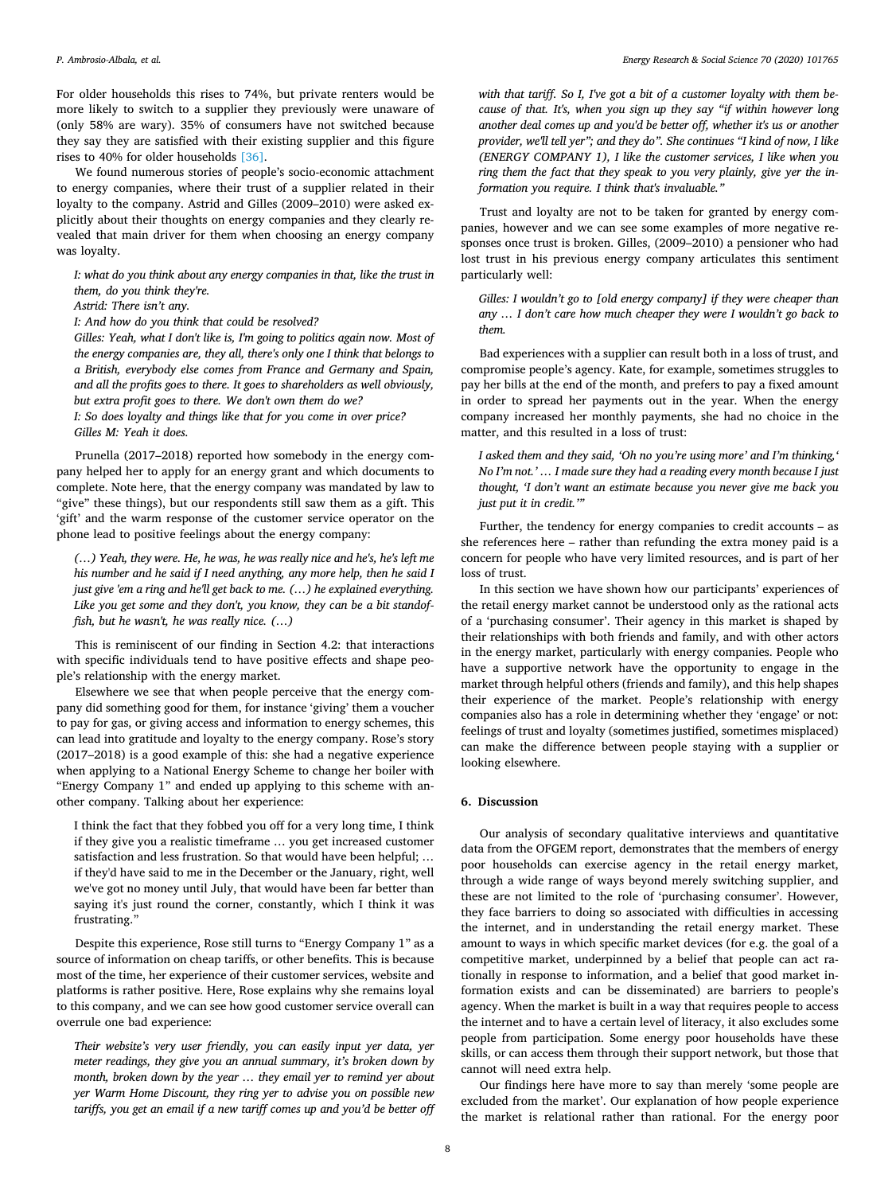For older households this rises to 74%, but private renters would be more likely to switch to a supplier they previously were unaware of (only 58% are wary). 35% of consumers have not switched because they say they are satisfied with their existing supplier and this figure rises to 40% for older households [\[36\].](#page-9-16)

We found numerous stories of people's socio-economic attachment to energy companies, where their trust of a supplier related in their loyalty to the company. Astrid and Gilles (2009–2010) were asked explicitly about their thoughts on energy companies and they clearly revealed that main driver for them when choosing an energy company was loyalty.

*I: what do you think about any energy companies in that, like the trust in them, do you think they're.*

*Astrid: There isn't any.*

*I: And how do you think that could be resolved?*

*Gilles: Yeah, what I don't like is, I'm going to politics again now. Most of the energy companies are, they all, there's only one I think that belongs to a British, everybody else comes from France and Germany and Spain, and all the profits goes to there. It goes to shareholders as well obviously, but extra profit goes to there. We don't own them do we?*

*I: So does loyalty and things like that for you come in over price? Gilles M: Yeah it does.*

Prunella (2017–2018) reported how somebody in the energy company helped her to apply for an energy grant and which documents to complete. Note here, that the energy company was mandated by law to "give" these things), but our respondents still saw them as a gift. This 'gift' and the warm response of the customer service operator on the phone lead to positive feelings about the energy company:

*(…) Yeah, they were. He, he was, he was really nice and he's, he's left me his number and he said if I need anything, any more help, then he said I just give 'em a ring and he'll get back to me. (…) he explained everything. Like you get some and they don't, you know, they can be a bit standoffish, but he wasn't, he was really nice. (…)*

This is reminiscent of our finding in Section 4.2: that interactions with specific individuals tend to have positive effects and shape people's relationship with the energy market.

Elsewhere we see that when people perceive that the energy company did something good for them, for instance 'giving' them a voucher to pay for gas, or giving access and information to energy schemes, this can lead into gratitude and loyalty to the energy company. Rose's story (2017–2018) is a good example of this: she had a negative experience when applying to a National Energy Scheme to change her boiler with "Energy Company 1" and ended up applying to this scheme with another company. Talking about her experience:

I think the fact that they fobbed you off for a very long time, I think if they give you a realistic timeframe … you get increased customer satisfaction and less frustration. So that would have been helpful; … if they'd have said to me in the December or the January, right, well we've got no money until July, that would have been far better than saying it's just round the corner, constantly, which I think it was frustrating."

Despite this experience, Rose still turns to "Energy Company 1" as a source of information on cheap tariffs, or other benefits. This is because most of the time, her experience of their customer services, website and platforms is rather positive. Here, Rose explains why she remains loyal to this company, and we can see how good customer service overall can overrule one bad experience:

*Their website's very user friendly, you can easily input yer data, yer meter readings, they give you an annual summary, it's broken down by month, broken down by the year … they email yer to remind yer about yer Warm Home Discount, they ring yer to advise you on possible new tariffs, you get an email if a new tariff comes up and you'd be better off* *with that tariff. So I, I've got a bit of a customer loyalty with them because of that. It's, when you sign up they say "if within however long another deal comes up and you'd be better off, whether it's us or another provider, we'll tell yer"; and they do". She continues "I kind of now, I like (ENERGY COMPANY 1), I like the customer services, I like when you ring them the fact that they speak to you very plainly, give yer the information you require. I think that's invaluable."*

Trust and loyalty are not to be taken for granted by energy companies, however and we can see some examples of more negative responses once trust is broken. Gilles, (2009–2010) a pensioner who had lost trust in his previous energy company articulates this sentiment particularly well:

*Gilles: I wouldn't go to [old energy company] if they were cheaper than any … I don't care how much cheaper they were I wouldn't go back to them.*

Bad experiences with a supplier can result both in a loss of trust, and compromise people's agency. Kate, for example, sometimes struggles to pay her bills at the end of the month, and prefers to pay a fixed amount in order to spread her payments out in the year. When the energy company increased her monthly payments, she had no choice in the matter, and this resulted in a loss of trust:

*I asked them and they said, 'Oh no you're using more' and I'm thinking,' No I'm not.' … I made sure they had a reading every month because I just thought, 'I don't want an estimate because you never give me back you just put it in credit.'"*

Further, the tendency for energy companies to credit accounts – as she references here – rather than refunding the extra money paid is a concern for people who have very limited resources, and is part of her loss of trust.

In this section we have shown how our participants' experiences of the retail energy market cannot be understood only as the rational acts of a 'purchasing consumer'. Their agency in this market is shaped by their relationships with both friends and family, and with other actors in the energy market, particularly with energy companies. People who have a supportive network have the opportunity to engage in the market through helpful others (friends and family), and this help shapes their experience of the market. People's relationship with energy companies also has a role in determining whether they 'engage' or not: feelings of trust and loyalty (sometimes justified, sometimes misplaced) can make the difference between people staying with a supplier or looking elsewhere.

## **6. Discussion**

Our analysis of secondary qualitative interviews and quantitative data from the OFGEM report, demonstrates that the members of energy poor households can exercise agency in the retail energy market, through a wide range of ways beyond merely switching supplier, and these are not limited to the role of 'purchasing consumer'. However, they face barriers to doing so associated with difficulties in accessing the internet, and in understanding the retail energy market. These amount to ways in which specific market devices (for e.g. the goal of a competitive market, underpinned by a belief that people can act rationally in response to information, and a belief that good market information exists and can be disseminated) are barriers to people's agency. When the market is built in a way that requires people to access the internet and to have a certain level of literacy, it also excludes some people from participation. Some energy poor households have these skills, or can access them through their support network, but those that cannot will need extra help.

Our findings here have more to say than merely 'some people are excluded from the market'. Our explanation of how people experience the market is relational rather than rational. For the energy poor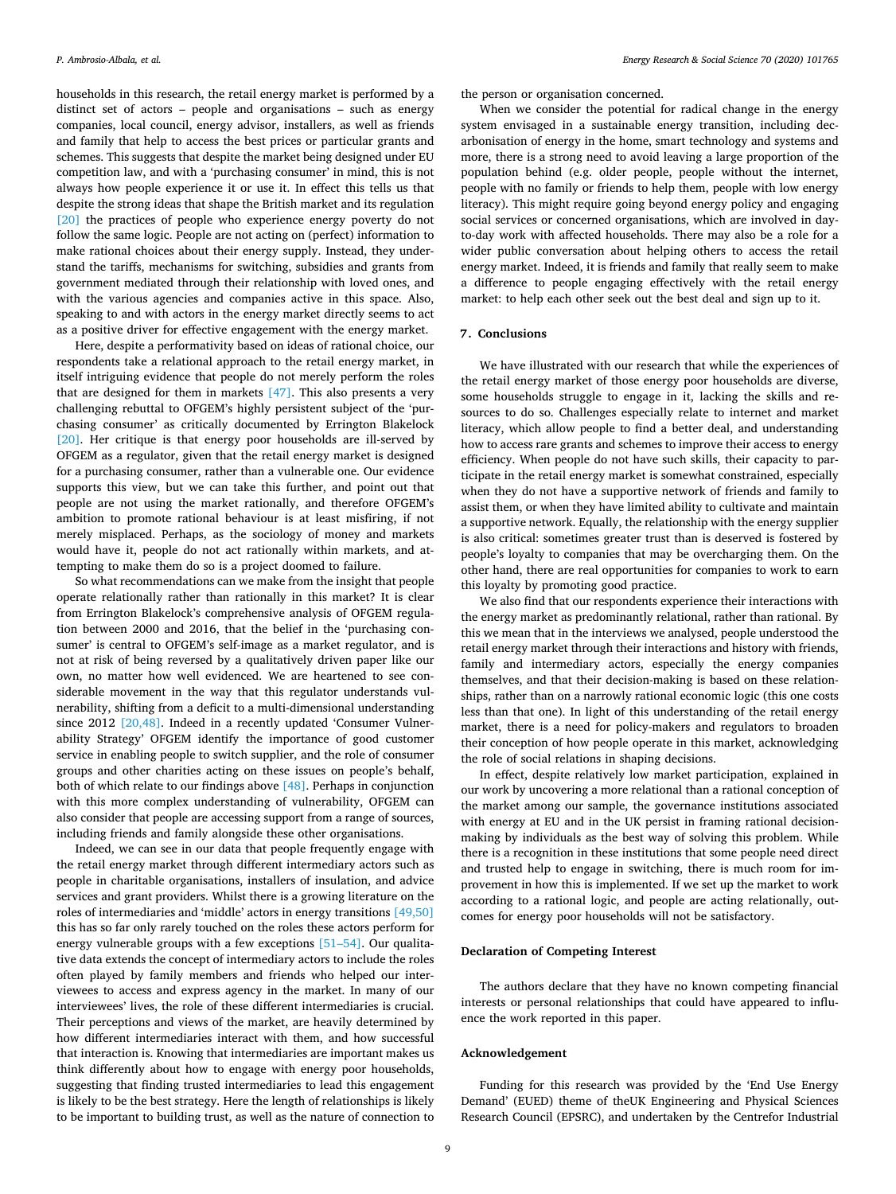households in this research, the retail energy market is performed by a distinct set of actors – people and organisations – such as energy companies, local council, energy advisor, installers, as well as friends and family that help to access the best prices or particular grants and schemes. This suggests that despite the market being designed under EU competition law, and with a 'purchasing consumer' in mind, this is not always how people experience it or use it. In effect this tells us that despite the strong ideas that shape the British market and its regulation [\[20\]](#page-9-2) the practices of people who experience energy poverty do not follow the same logic. People are not acting on (perfect) information to make rational choices about their energy supply. Instead, they understand the tariffs, mechanisms for switching, subsidies and grants from government mediated through their relationship with loved ones, and with the various agencies and companies active in this space. Also, speaking to and with actors in the energy market directly seems to act as a positive driver for effective engagement with the energy market.

Here, despite a performativity based on ideas of rational choice, our respondents take a relational approach to the retail energy market, in itself intriguing evidence that people do not merely perform the roles that are designed for them in markets  $[47]$ . This also presents a very challenging rebuttal to OFGEM's highly persistent subject of the 'purchasing consumer' as critically documented by Errington Blakelock [\[20\]](#page-9-2). Her critique is that energy poor households are ill-served by OFGEM as a regulator, given that the retail energy market is designed for a purchasing consumer, rather than a vulnerable one. Our evidence supports this view, but we can take this further, and point out that people are not using the market rationally, and therefore OFGEM's ambition to promote rational behaviour is at least misfiring, if not merely misplaced. Perhaps, as the sociology of money and markets would have it, people do not act rationally within markets, and attempting to make them do so is a project doomed to failure.

So what recommendations can we make from the insight that people operate relationally rather than rationally in this market? It is clear from Errington Blakelock's comprehensive analysis of OFGEM regulation between 2000 and 2016, that the belief in the 'purchasing consumer' is central to OFGEM's self-image as a market regulator, and is not at risk of being reversed by a qualitatively driven paper like our own, no matter how well evidenced. We are heartened to see considerable movement in the way that this regulator understands vulnerability, shifting from a deficit to a multi-dimensional understanding since 2012 [\[20,48\].](#page-9-2) Indeed in a recently updated 'Consumer Vulnerability Strategy' OFGEM identify the importance of good customer service in enabling people to switch supplier, and the role of consumer groups and other charities acting on these issues on people's behalf, both of which relate to our findings above [\[48\]](#page-9-29). Perhaps in conjunction with this more complex understanding of vulnerability, OFGEM can also consider that people are accessing support from a range of sources, including friends and family alongside these other organisations.

Indeed, we can see in our data that people frequently engage with the retail energy market through different intermediary actors such as people in charitable organisations, installers of insulation, and advice services and grant providers. Whilst there is a growing literature on the roles of intermediaries and 'middle' actors in energy transitions [\[49,50\]](#page-9-30) this has so far only rarely touched on the roles these actors perform for energy vulnerable groups with a few exceptions [\[51–54\]](#page-9-31). Our qualitative data extends the concept of intermediary actors to include the roles often played by family members and friends who helped our interviewees to access and express agency in the market. In many of our interviewees' lives, the role of these different intermediaries is crucial. Their perceptions and views of the market, are heavily determined by how different intermediaries interact with them, and how successful that interaction is. Knowing that intermediaries are important makes us think differently about how to engage with energy poor households, suggesting that finding trusted intermediaries to lead this engagement is likely to be the best strategy. Here the length of relationships is likely to be important to building trust, as well as the nature of connection to the person or organisation concerned.

When we consider the potential for radical change in the energy system envisaged in a sustainable energy transition, including decarbonisation of energy in the home, smart technology and systems and more, there is a strong need to avoid leaving a large proportion of the population behind (e.g. older people, people without the internet, people with no family or friends to help them, people with low energy literacy). This might require going beyond energy policy and engaging social services or concerned organisations, which are involved in dayto-day work with affected households. There may also be a role for a wider public conversation about helping others to access the retail energy market. Indeed, it is friends and family that really seem to make a difference to people engaging effectively with the retail energy market: to help each other seek out the best deal and sign up to it.

## **7. Conclusions**

We have illustrated with our research that while the experiences of the retail energy market of those energy poor households are diverse, some households struggle to engage in it, lacking the skills and resources to do so. Challenges especially relate to internet and market literacy, which allow people to find a better deal, and understanding how to access rare grants and schemes to improve their access to energy efficiency. When people do not have such skills, their capacity to participate in the retail energy market is somewhat constrained, especially when they do not have a supportive network of friends and family to assist them, or when they have limited ability to cultivate and maintain a supportive network. Equally, the relationship with the energy supplier is also critical: sometimes greater trust than is deserved is fostered by people's loyalty to companies that may be overcharging them. On the other hand, there are real opportunities for companies to work to earn this loyalty by promoting good practice.

We also find that our respondents experience their interactions with the energy market as predominantly relational, rather than rational. By this we mean that in the interviews we analysed, people understood the retail energy market through their interactions and history with friends, family and intermediary actors, especially the energy companies themselves, and that their decision-making is based on these relationships, rather than on a narrowly rational economic logic (this one costs less than that one). In light of this understanding of the retail energy market, there is a need for policy-makers and regulators to broaden their conception of how people operate in this market, acknowledging the role of social relations in shaping decisions.

In effect, despite relatively low market participation, explained in our work by uncovering a more relational than a rational conception of the market among our sample, the governance institutions associated with energy at EU and in the UK persist in framing rational decisionmaking by individuals as the best way of solving this problem. While there is a recognition in these institutions that some people need direct and trusted help to engage in switching, there is much room for improvement in how this is implemented. If we set up the market to work according to a rational logic, and people are acting relationally, outcomes for energy poor households will not be satisfactory.

## **Declaration of Competing Interest**

The authors declare that they have no known competing financial interests or personal relationships that could have appeared to influence the work reported in this paper.

#### **Acknowledgement**

Funding for this research was provided by the 'End Use Energy Demand' (EUED) theme of theUK Engineering and Physical Sciences Research Council (EPSRC), and undertaken by the Centrefor Industrial